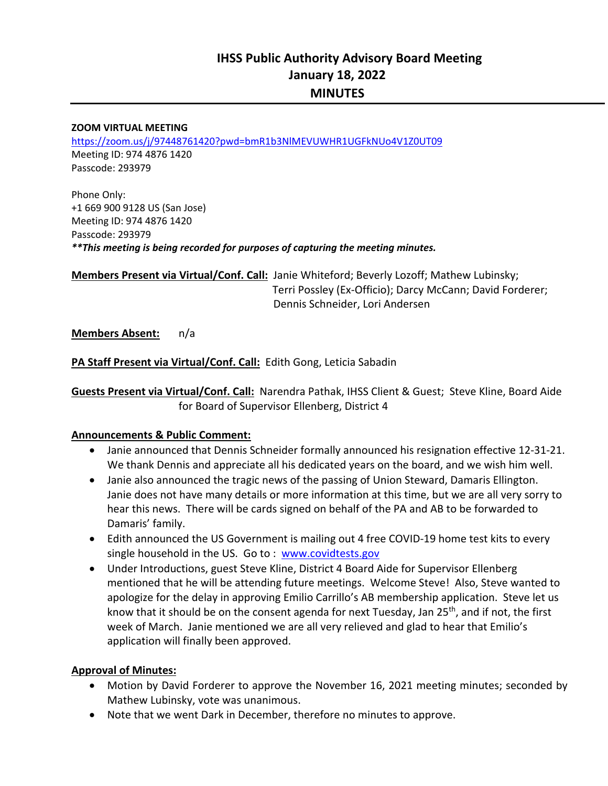#### **ZOOM VIRTUAL MEETING**

https://zoom.us/j/97448761420?pwd=bmR1b3NlMEVUWHR1UGFkNUo4V1Z0UT09 Meeting ID: 974 4876 1420 Passcode: 293979

Phone Only: +1 669 900 9128 US (San Jose) Meeting ID: 974 4876 1420 Passcode: 293979 *\*\*This meeting is being recorded for purposes of capturing the meeting minutes.* 

**Members Present via Virtual/Conf. Call:** Janie Whiteford; Beverly Lozoff; Mathew Lubinsky; L Terri Possley (Ex‐Officio); Darcy McCann; David Forderer; Dennis Schneider, Lori Andersen

**Members Absent:**  n/a

**PA Staff Present via Virtual/Conf. Call:** Edith Gong, Leticia Sabadin

**Guests Present via Virtual/Conf. Call:** Narendra Pathak, IHSS Client & Guest; Steve Kline, Board Aide for Board of Supervisor Ellenberg, District 4

#### **Announcements & Public Comment:**

- Janie announced that Dennis Schneider formally announced his resignation effective 12‐31‐21. We thank Dennis and appreciate all his dedicated years on the board, and we wish him well.
- Janie also announced the tragic news of the passing of Union Steward, Damaris Ellington. Janie does not have many details or more information at this time, but we are all very sorry to hear this news. There will be cards signed on behalf of the PA and AB to be forwarded to Damaris' family.
- Edith announced the US Government is mailing out 4 free COVID-19 home test kits to every single household in the US. Go to : www.covidtests.gov
- Under Introductions, guest Steve Kline, District 4 Board Aide for Supervisor Ellenberg mentioned that he will be attending future meetings. Welcome Steve! Also, Steve wanted to apologize for the delay in approving Emilio Carrillo's AB membership application. Steve let us know that it should be on the consent agenda for next Tuesday, Jan  $25<sup>th</sup>$ , and if not, the first week of March. Janie mentioned we are all very relieved and glad to hear that Emilio's application will finally been approved.

#### **Approval of Minutes:**

- Motion by David Forderer to approve the November 16, 2021 meeting minutes; seconded by Mathew Lubinsky, vote was unanimous.
- Note that we went Dark in December, therefore no minutes to approve.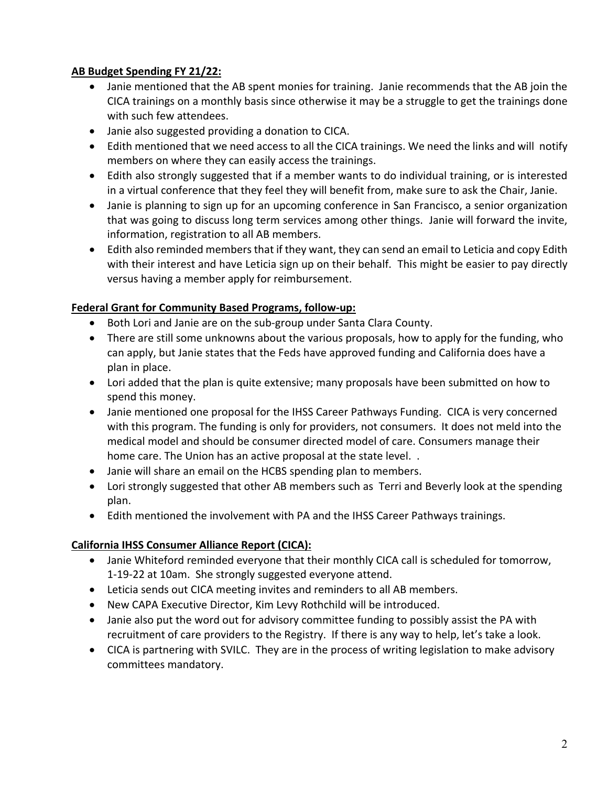# **AB Budget Spending FY 21/22:**

- Janie mentioned that the AB spent monies for training. Janie recommends that the AB join the CICA trainings on a monthly basis since otherwise it may be a struggle to get the trainings done with such few attendees.
- Janie also suggested providing a donation to CICA.
- Edith mentioned that we need access to all the CICA trainings. We need the links and will notify members on where they can easily access the trainings.
- Edith also strongly suggested that if a member wants to do individual training, or is interested in a virtual conference that they feel they will benefit from, make sure to ask the Chair, Janie.
- Janie is planning to sign up for an upcoming conference in San Francisco, a senior organization that was going to discuss long term services among other things. Janie will forward the invite, information, registration to all AB members.
- Edith also reminded members that if they want, they can send an email to Leticia and copy Edith with their interest and have Leticia sign up on their behalf. This might be easier to pay directly versus having a member apply for reimbursement.

### **Federal Grant for Community Based Programs, follow‐up:**

- Both Lori and Janie are on the sub-group under Santa Clara County.
- There are still some unknowns about the various proposals, how to apply for the funding, who can apply, but Janie states that the Feds have approved funding and California does have a plan in place.
- Lori added that the plan is quite extensive; many proposals have been submitted on how to spend this money.
- Janie mentioned one proposal for the IHSS Career Pathways Funding. CICA is very concerned with this program. The funding is only for providers, not consumers. It does not meld into the medical model and should be consumer directed model of care. Consumers manage their home care. The Union has an active proposal at the state level. .
- Janie will share an email on the HCBS spending plan to members.
- Lori strongly suggested that other AB members such as Terri and Beverly look at the spending plan.
- Edith mentioned the involvement with PA and the IHSS Career Pathways trainings.

# **California IHSS Consumer Alliance Report (CICA):**

- Janie Whiteford reminded everyone that their monthly CICA call is scheduled for tomorrow, 1‐19‐22 at 10am. She strongly suggested everyone attend.
- Leticia sends out CICA meeting invites and reminders to all AB members.
- New CAPA Executive Director, Kim Levy Rothchild will be introduced.
- Janie also put the word out for advisory committee funding to possibly assist the PA with recruitment of care providers to the Registry. If there is any way to help, let's take a look.
- CICA is partnering with SVILC. They are in the process of writing legislation to make advisory committees mandatory.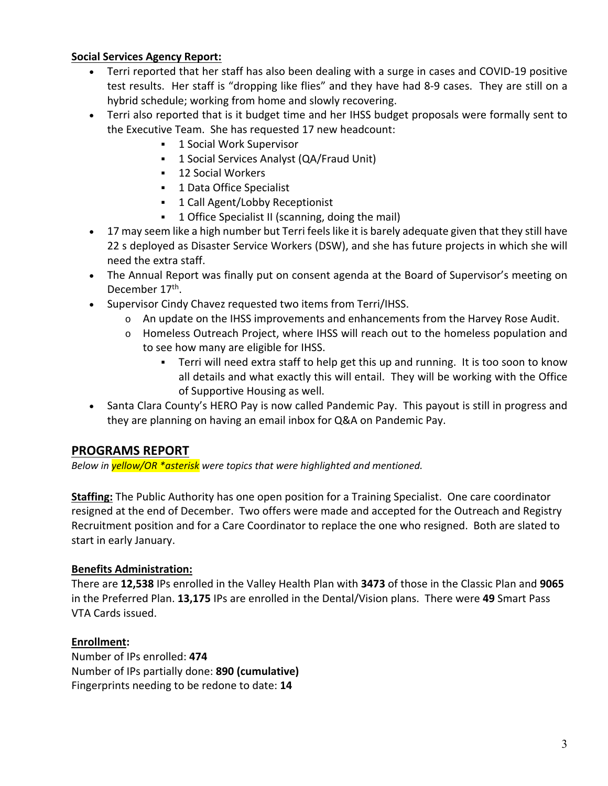### **Social Services Agency Report:**

- Terri reported that her staff has also been dealing with a surge in cases and COVID‐19 positive test results. Her staff is "dropping like flies" and they have had 8‐9 cases. They are still on a hybrid schedule; working from home and slowly recovering.
- Terri also reported that is it budget time and her IHSS budget proposals were formally sent to the Executive Team. She has requested 17 new headcount:
	- 1 Social Work Supervisor
	- **1 Social Services Analyst (QA/Fraud Unit)**
	- **12 Social Workers**
	- **1 Data Office Specialist**
	- **1 Call Agent/Lobby Receptionist**
	- **1 Office Specialist II (scanning, doing the mail)**
- 17 may seem like a high number but Terri feels like it is barely adequate given that they still have 22 s deployed as Disaster Service Workers (DSW), and she has future projects in which she will need the extra staff.
- The Annual Report was finally put on consent agenda at the Board of Supervisor's meeting on December 17<sup>th</sup>.
- Supervisor Cindy Chavez requested two items from Terri/IHSS.
	- $\circ$  An update on the IHSS improvements and enhancements from the Harvey Rose Audit.
	- o Homeless Outreach Project, where IHSS will reach out to the homeless population and to see how many are eligible for IHSS.
		- Terri will need extra staff to help get this up and running. It is too soon to know all details and what exactly this will entail. They will be working with the Office of Supportive Housing as well.
- Santa Clara County's HERO Pay is now called Pandemic Pay. This payout is still in progress and they are planning on having an email inbox for Q&A on Pandemic Pay.

# **PROGRAMS REPORT**

*Below in yellow/OR \*asterisk were topics that were highlighted and mentioned.* 

**Staffing:** The Public Authority has one open position for a Training Specialist. One care coordinator resigned at the end of December. Two offers were made and accepted for the Outreach and Registry Recruitment position and for a Care Coordinator to replace the one who resigned. Both are slated to start in early January.

### **Benefits Administration:**

There are **12,538** IPs enrolled in the Valley Health Plan with **3473** of those in the Classic Plan and **9065**  in the Preferred Plan. **13,175** IPs are enrolled in the Dental/Vision plans. There were **49** Smart Pass VTA Cards issued.

### **Enrollment:**

Number of IPs enrolled: **474**  Number of IPs partially done: **890 (cumulative)** Fingerprints needing to be redone to date: **14**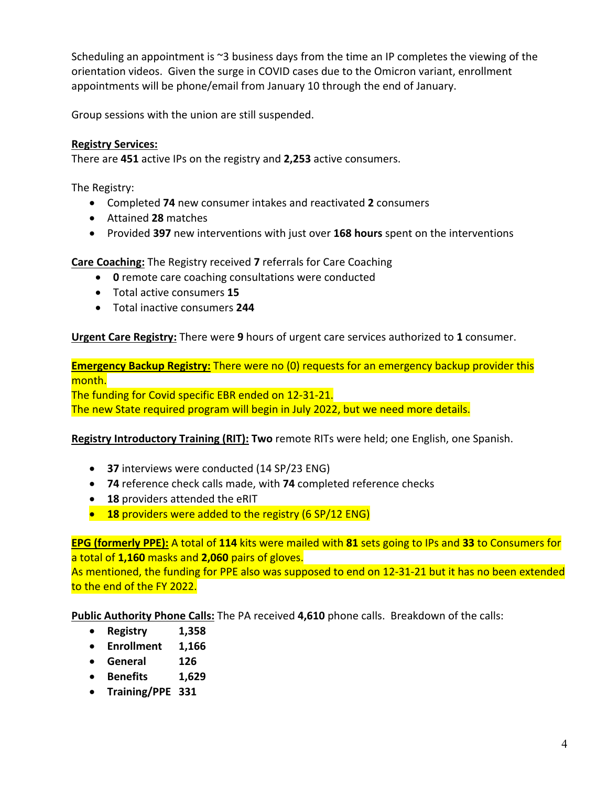Scheduling an appointment is ~3 business days from the time an IP completes the viewing of the orientation videos. Given the surge in COVID cases due to the Omicron variant, enrollment appointments will be phone/email from January 10 through the end of January.

Group sessions with the union are still suspended.

# **Registry Services:**

There are **451** active IPs on the registry and **2,253** active consumers.

The Registry:

- Completed **74** new consumer intakes and reactivated **2** consumers
- Attained **28** matches
- Provided **397** new interventions with just over **168 hours** spent on the interventions

**Care Coaching:** The Registry received **7** referrals for Care Coaching

- **0** remote care coaching consultations were conducted
- Total active consumers **15**
- Total inactive consumers **244**

**Urgent Care Registry:** There were **9** hours of urgent care services authorized to **1** consumer.

**Emergency Backup Registry:** There were no (0) requests for an emergency backup provider this month.

The funding for Covid specific EBR ended on 12‐31‐21. The new State required program will begin in July 2022, but we need more details.

#### **Registry Introductory Training (RIT): Two** remote RITs were held; one English, one Spanish.

- **37** interviews were conducted (14 SP/23 ENG)
- **74** reference check calls made, with **74** completed reference checks
- **18** providers attended the eRIT
- **<sup>8</sup>** 18 providers were added to the registry (6 SP/12 ENG)

**EPG (formerly PPE):** A total of **114** kits were mailed with **81** sets going to IPs and **33** to Consumers for a total of **1,160** masks and **2,060** pairs of gloves.

As mentioned, the funding for PPE also was supposed to end on 12-31-21 but it has no been extended to the end of the FY 2022.

**Public Authority Phone Calls:** The PA received **4,610** phone calls. Breakdown of the calls:

- **Registry 1,358**
- **Enrollment 1,166**
- **General 126**
- **Benefits 1,629**
- **Training/PPE 331**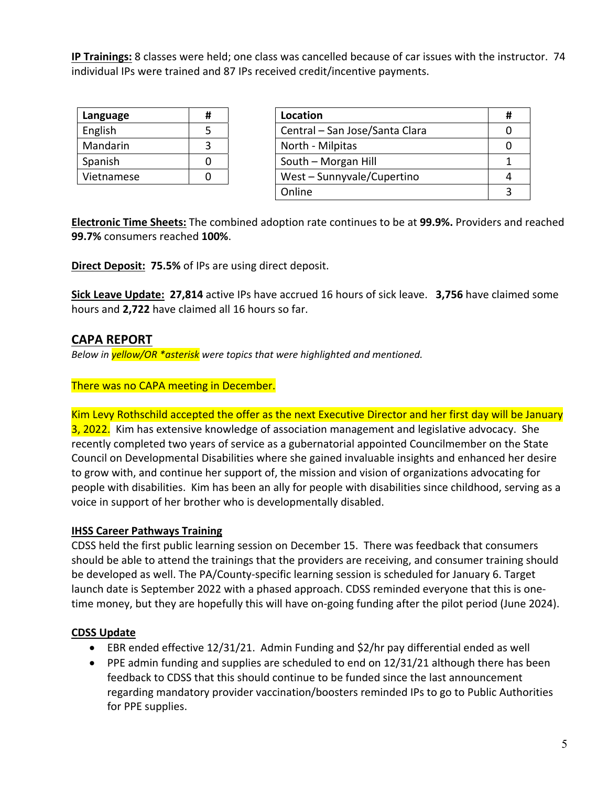**IP Trainings:** 8 classes were held; one class was cancelled because of car issues with the instructor. 74 individual IPs were trained and 87 IPs received credit/incentive payments.

| Language   | Ħ |
|------------|---|
| English    | 5 |
| Mandarin   |   |
| Spanish    |   |
| Vietnamese |   |

| Language   | # | Location                       |  |
|------------|---|--------------------------------|--|
| English    |   | Central - San Jose/Santa Clara |  |
| Mandarin   |   | North - Milpitas               |  |
| Spanish    |   | South - Morgan Hill            |  |
| Vietnamese |   | West - Sunnyvale/Cupertino     |  |
|            |   | Online                         |  |
|            |   |                                |  |

**Electronic Time Sheets:** The combined adoption rate continues to be at **99.9%.** Providers and reached **99.7%** consumers reached **100%**.

**Direct Deposit: 75.5%** of IPs are using direct deposit.

**Sick Leave Update: 27,814** active IPs have accrued 16 hours of sick leave. **3,756** have claimed some hours and **2,722** have claimed all 16 hours so far.

# **CAPA REPORT**

*Below in yellow/OR \*asterisk were topics that were highlighted and mentioned.* 

#### There was no CAPA meeting in December.

Kim Levy Rothschild accepted the offer as the next Executive Director and her first day will be January 3, 2022. Kim has extensive knowledge of association management and legislative advocacy. She recently completed two years of service as a gubernatorial appointed Councilmember on the State Council on Developmental Disabilities where she gained invaluable insights and enhanced her desire to grow with, and continue her support of, the mission and vision of organizations advocating for people with disabilities. Kim has been an ally for people with disabilities since childhood, serving as a voice in support of her brother who is developmentally disabled.

#### **IHSS Career Pathways Training**

CDSS held the first public learning session on December 15. There was feedback that consumers should be able to attend the trainings that the providers are receiving, and consumer training should be developed as well. The PA/County‐specific learning session is scheduled for January 6. Target launch date is September 2022 with a phased approach. CDSS reminded everyone that this is one‐ time money, but they are hopefully this will have on-going funding after the pilot period (June 2024).

#### **CDSS Update**

- EBR ended effective 12/31/21. Admin Funding and \$2/hr pay differential ended as well
- PPE admin funding and supplies are scheduled to end on 12/31/21 although there has been feedback to CDSS that this should continue to be funded since the last announcement regarding mandatory provider vaccination/boosters reminded IPs to go to Public Authorities for PPE supplies.